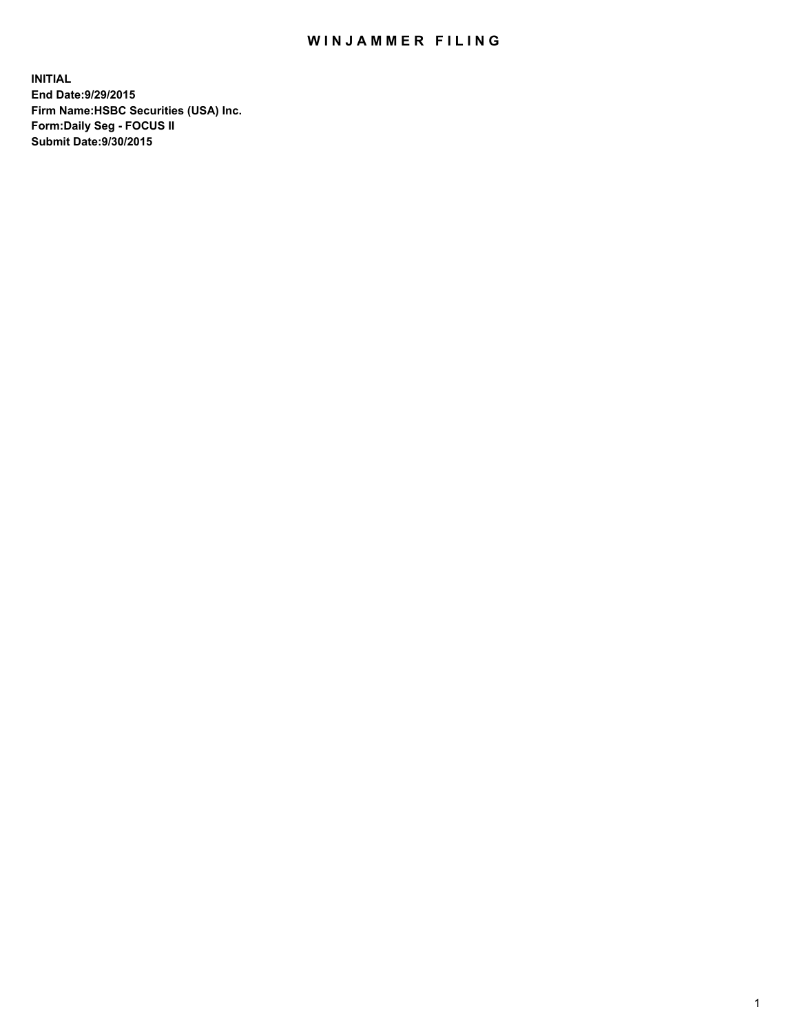## WIN JAMMER FILING

**INITIAL End Date:9/29/2015 Firm Name:HSBC Securities (USA) Inc. Form:Daily Seg - FOCUS II Submit Date:9/30/2015**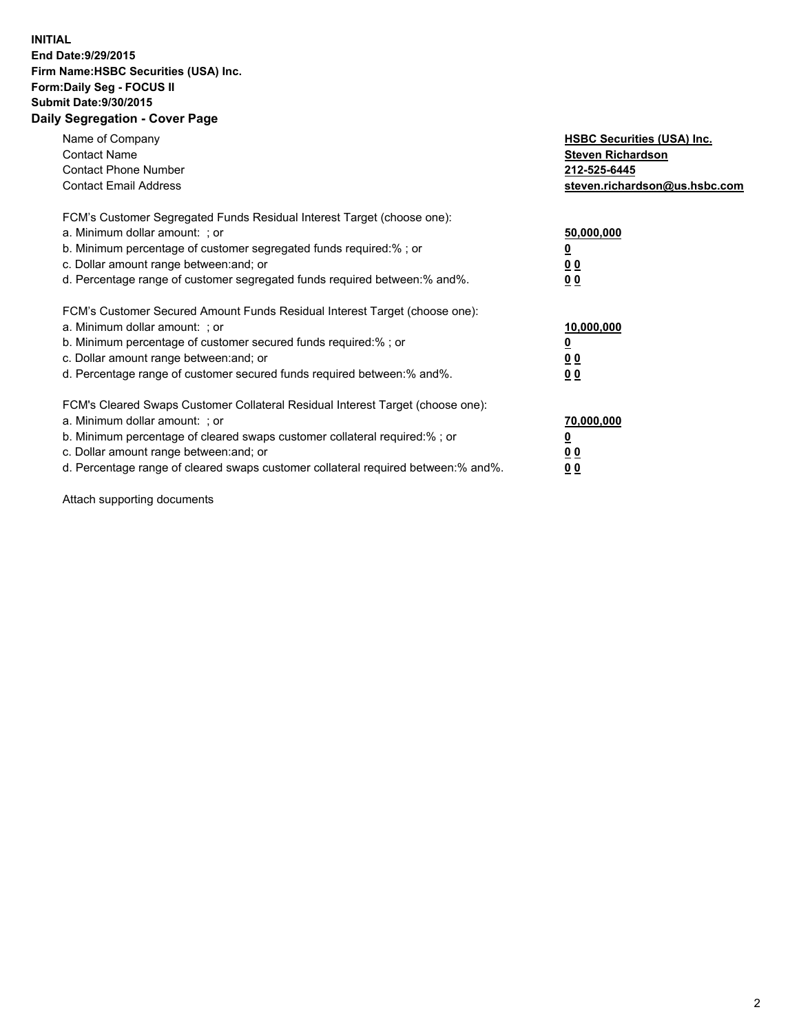## **INITIAL End Date:9/29/2015 Firm Name:HSBC Securities (USA) Inc. Form:Daily Seg - FOCUS II Submit Date:9/30/2015 Daily Segregation - Cover Page**

| Name of Company<br><b>Contact Name</b><br><b>Contact Phone Number</b><br><b>Contact Email Address</b>                                                                                                                                                                                                                          | <b>HSBC Securities (USA) Inc.</b><br><b>Steven Richardson</b><br>212-525-6445<br>steven.richardson@us.hsbc.com |
|--------------------------------------------------------------------------------------------------------------------------------------------------------------------------------------------------------------------------------------------------------------------------------------------------------------------------------|----------------------------------------------------------------------------------------------------------------|
| FCM's Customer Segregated Funds Residual Interest Target (choose one):<br>a. Minimum dollar amount: ; or<br>b. Minimum percentage of customer segregated funds required:%; or<br>c. Dollar amount range between: and; or<br>d. Percentage range of customer segregated funds required between: % and %.                        | 50,000,000<br>0 <sub>0</sub><br>0 <sub>0</sub>                                                                 |
| FCM's Customer Secured Amount Funds Residual Interest Target (choose one):<br>a. Minimum dollar amount: ; or<br>b. Minimum percentage of customer secured funds required:%; or<br>c. Dollar amount range between: and; or<br>d. Percentage range of customer secured funds required between:% and%.                            | 10,000,000<br><u>0</u><br>0 <sub>0</sub><br>0 <sub>0</sub>                                                     |
| FCM's Cleared Swaps Customer Collateral Residual Interest Target (choose one):<br>a. Minimum dollar amount: ; or<br>b. Minimum percentage of cleared swaps customer collateral required:% ; or<br>c. Dollar amount range between: and; or<br>d. Percentage range of cleared swaps customer collateral required between:% and%. | 70,000,000<br>00<br><u>00</u>                                                                                  |

Attach supporting documents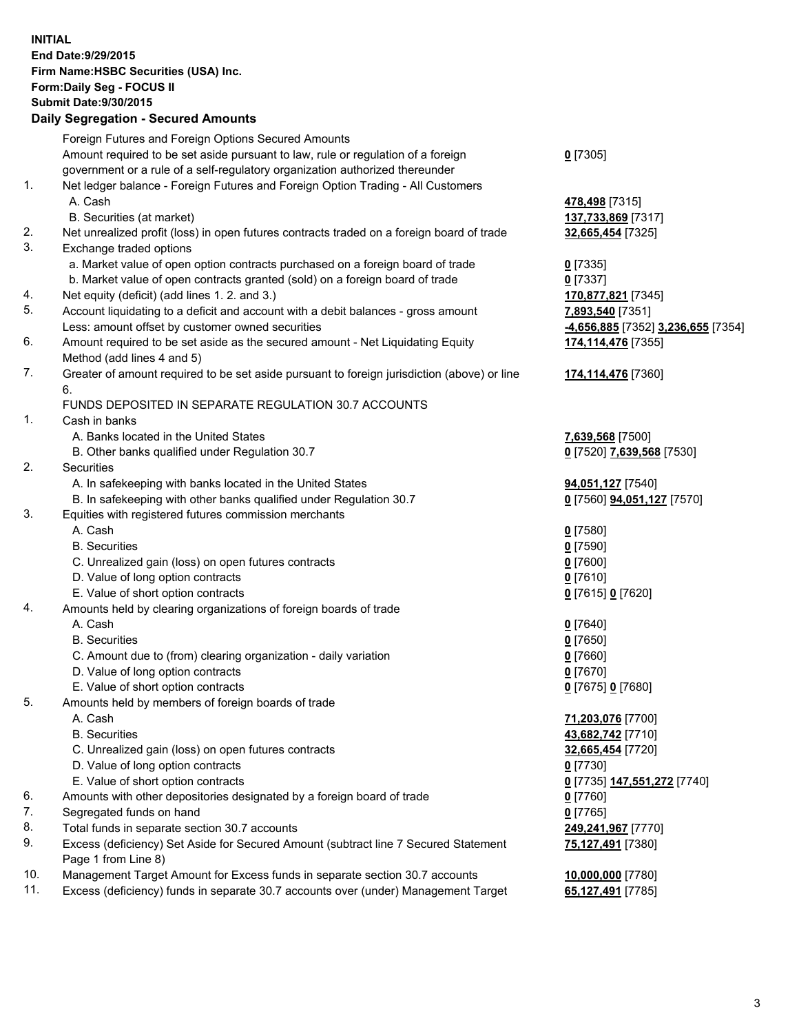**INITIAL End Date:9/29/2015 Firm Name:HSBC Securities (USA) Inc. Form:Daily Seg - FOCUS II Submit Date:9/30/2015 Daily Segregation - Secured Amounts**

Foreign Futures and Foreign Options Secured Amounts Amount required to be set aside pursuant to law, rule or regulation of a foreign government or a rule of a self-regulatory organization authorized thereunder **0** [7305] 1. Net ledger balance - Foreign Futures and Foreign Option Trading - All Customers A. Cash **478,498** [7315] B. Securities (at market) **137,733,869** [7317] 2. Net unrealized profit (loss) in open futures contracts traded on a foreign board of trade **32,665,454** [7325] 3. Exchange traded options a. Market value of open option contracts purchased on a foreign board of trade **0** [7335] b. Market value of open contracts granted (sold) on a foreign board of trade **0** [7337] 4. Net equity (deficit) (add lines 1. 2. and 3.) **170,877,821** [7345] 5. Account liquidating to a deficit and account with a debit balances - gross amount **7,893,540** [7351] Less: amount offset by customer owned securities **-4,656,885** [7352] **3,236,655** [7354] 6. Amount required to be set aside as the secured amount - Net Liquidating Equity Method (add lines 4 and 5) **174,114,476** [7355] 7. Greater of amount required to be set aside pursuant to foreign jurisdiction (above) or line 6. **174,114,476** [7360] FUNDS DEPOSITED IN SEPARATE REGULATION 30.7 ACCOUNTS 1. Cash in banks A. Banks located in the United States **7,639,568** [7500] B. Other banks qualified under Regulation 30.7 **0** [7520] **7,639,568** [7530] 2. Securities A. In safekeeping with banks located in the United States **94,051,127** [7540] B. In safekeeping with other banks qualified under Regulation 30.7 **0** [7560] **94,051,127** [7570] 3. Equities with registered futures commission merchants A. Cash **0** [7580] B. Securities **0** [7590] C. Unrealized gain (loss) on open futures contracts **0** [7600] D. Value of long option contracts **0** [7610] E. Value of short option contracts **0** [7615] **0** [7620] 4. Amounts held by clearing organizations of foreign boards of trade A. Cash **0** [7640] B. Securities **0** [7650] C. Amount due to (from) clearing organization - daily variation **0** [7660] D. Value of long option contracts **0** [7670] E. Value of short option contracts **0** [7675] **0** [7680] 5. Amounts held by members of foreign boards of trade A. Cash **71,203,076** [7700] B. Securities **43,682,742** [7710] C. Unrealized gain (loss) on open futures contracts **32,665,454** [7720] D. Value of long option contracts **0** [7730] E. Value of short option contracts **0** [7735] **147,551,272** [7740] 6. Amounts with other depositories designated by a foreign board of trade **0** [7760] 7. Segregated funds on hand **0** [7765] 8. Total funds in separate section 30.7 accounts **249,241,967** [7770] 9. Excess (deficiency) Set Aside for Secured Amount (subtract line 7 Secured Statement Page 1 from Line 8) **75,127,491** [7380] 10. Management Target Amount for Excess funds in separate section 30.7 accounts **10,000,000** [7780] 11. Excess (deficiency) funds in separate 30.7 accounts over (under) Management Target **65,127,491** [7785]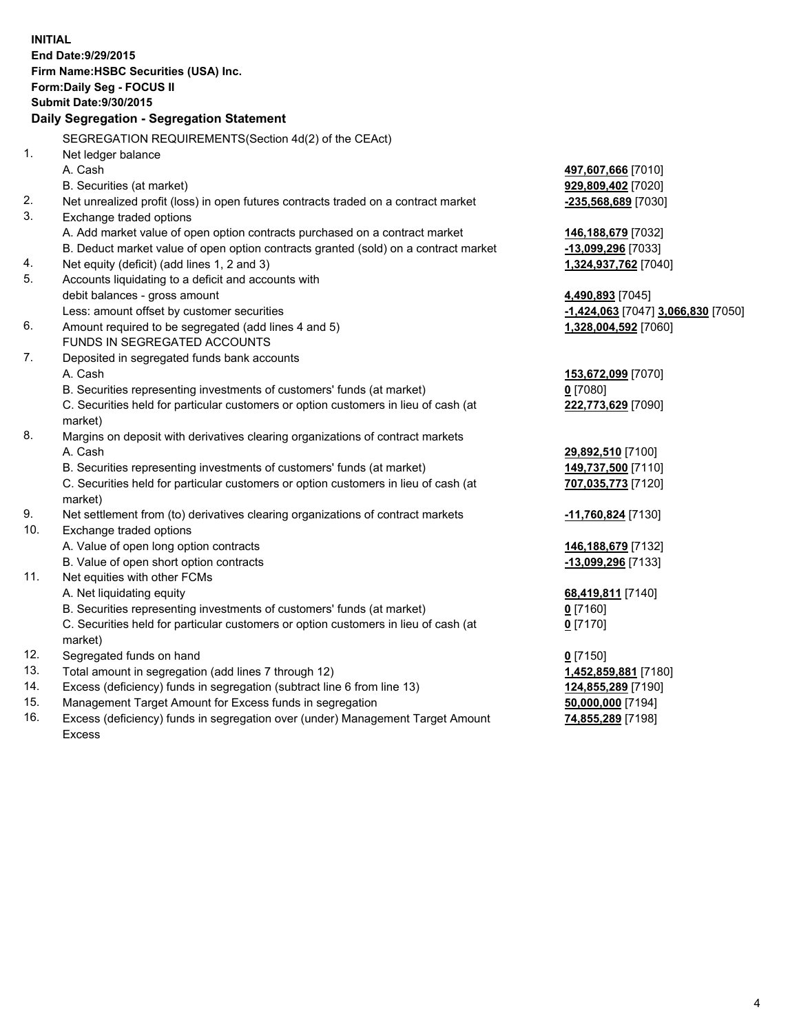| <b>INITIAL</b>                            | End Date: 9/29/2015                                                                            |                                    |  |  |  |
|-------------------------------------------|------------------------------------------------------------------------------------------------|------------------------------------|--|--|--|
| Firm Name: HSBC Securities (USA) Inc.     |                                                                                                |                                    |  |  |  |
| Form: Daily Seg - FOCUS II                |                                                                                                |                                    |  |  |  |
| <b>Submit Date: 9/30/2015</b>             |                                                                                                |                                    |  |  |  |
| Daily Segregation - Segregation Statement |                                                                                                |                                    |  |  |  |
|                                           | SEGREGATION REQUIREMENTS(Section 4d(2) of the CEAct)                                           |                                    |  |  |  |
| 1.                                        | Net ledger balance                                                                             |                                    |  |  |  |
|                                           | A. Cash                                                                                        | 497,607,666 [7010]                 |  |  |  |
|                                           | B. Securities (at market)                                                                      | 929,809,402 [7020]                 |  |  |  |
| 2.                                        | Net unrealized profit (loss) in open futures contracts traded on a contract market             | -235,568,689 [7030]                |  |  |  |
| 3.                                        | Exchange traded options                                                                        |                                    |  |  |  |
|                                           | A. Add market value of open option contracts purchased on a contract market                    | 146,188,679 [7032]                 |  |  |  |
|                                           | B. Deduct market value of open option contracts granted (sold) on a contract market            | -13,099,296 [7033]                 |  |  |  |
| 4.                                        | Net equity (deficit) (add lines 1, 2 and 3)                                                    | 1,324,937,762 [7040]               |  |  |  |
| 5.                                        | Accounts liquidating to a deficit and accounts with                                            |                                    |  |  |  |
|                                           | debit balances - gross amount                                                                  | 4,490,893 [7045]                   |  |  |  |
|                                           | Less: amount offset by customer securities                                                     | -1,424,063 [7047] 3,066,830 [7050] |  |  |  |
| 6.                                        | Amount required to be segregated (add lines 4 and 5)                                           | 1,328,004,592 [7060]               |  |  |  |
|                                           | FUNDS IN SEGREGATED ACCOUNTS                                                                   |                                    |  |  |  |
| 7.                                        | Deposited in segregated funds bank accounts                                                    |                                    |  |  |  |
|                                           | A. Cash                                                                                        | 153,672,099 [7070]                 |  |  |  |
|                                           | B. Securities representing investments of customers' funds (at market)                         | $0$ [7080]                         |  |  |  |
|                                           | C. Securities held for particular customers or option customers in lieu of cash (at            | 222,773,629 [7090]                 |  |  |  |
|                                           | market)                                                                                        |                                    |  |  |  |
| 8.                                        | Margins on deposit with derivatives clearing organizations of contract markets                 |                                    |  |  |  |
|                                           | A. Cash                                                                                        | 29,892,510 [7100]                  |  |  |  |
|                                           | B. Securities representing investments of customers' funds (at market)                         | 149,737,500 [7110]                 |  |  |  |
|                                           | C. Securities held for particular customers or option customers in lieu of cash (at<br>market) | 707,035,773 [7120]                 |  |  |  |
| 9.                                        | Net settlement from (to) derivatives clearing organizations of contract markets                | -11,760,824 [7130]                 |  |  |  |
| 10.                                       | Exchange traded options                                                                        |                                    |  |  |  |
|                                           | A. Value of open long option contracts                                                         | 146,188,679 [7132]                 |  |  |  |
|                                           | B. Value of open short option contracts                                                        | -13,099,296 [7133]                 |  |  |  |
| 11.                                       | Net equities with other FCMs                                                                   |                                    |  |  |  |
|                                           | A. Net liquidating equity                                                                      | 68,419,811 [7140]                  |  |  |  |
|                                           | B. Securities representing investments of customers' funds (at market)                         | 0 [7160]                           |  |  |  |
|                                           | C. Securities held for particular customers or option customers in lieu of cash (at            | $0$ [7170]                         |  |  |  |
|                                           | market)                                                                                        |                                    |  |  |  |
| 12.                                       | Segregated funds on hand                                                                       | $0$ [7150]                         |  |  |  |
| 13.                                       | Total amount in segregation (add lines 7 through 12)                                           | 1,452,859,881 [7180]               |  |  |  |
| 14.                                       | Excess (deficiency) funds in segregation (subtract line 6 from line 13)                        | 124,855,289 [7190]                 |  |  |  |
| 15.                                       | Management Target Amount for Excess funds in segregation                                       | 50,000,000 [7194]                  |  |  |  |

16. Excess (deficiency) funds in segregation over (under) Management Target Amount Excess

**74,855,289** [7198]